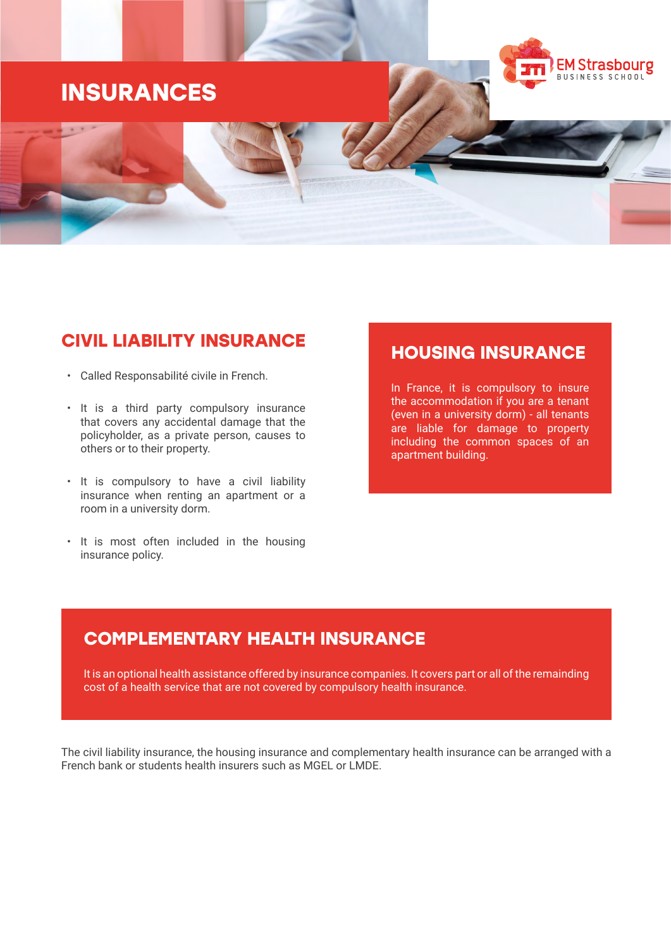# **INSURANCES**

# EM Strasbourg USINESS SCHOOL

## **CIVIL LIABILITY INSURANCE**

- Called Responsabilité civile in French.
- It is a third party compulsory insurance that covers any accidental damage that the policyholder, as a private person, causes to others or to their property.
- It is compulsory to have a civil liability insurance when renting an apartment or a room in a university dorm.
- It is most often included in the housing insurance policy.

### **HOUSING INSURANCE**

In France, it is compulsory to insure the accommodation if you are a tenant (even in a university dorm) - all tenants are liable for damage to property including the common spaces of an apartment building.

## **COMPLEMENTARY HEALTH INSURANCE**

It is an optional health assistance offered by insurance companies. It covers part or all of the remainding cost of a health service that are not covered by compulsory health insurance.

The civil liability insurance, the housing insurance and complementary health insurance can be arranged with a French bank or students health insurers such as MGEL or LMDE.